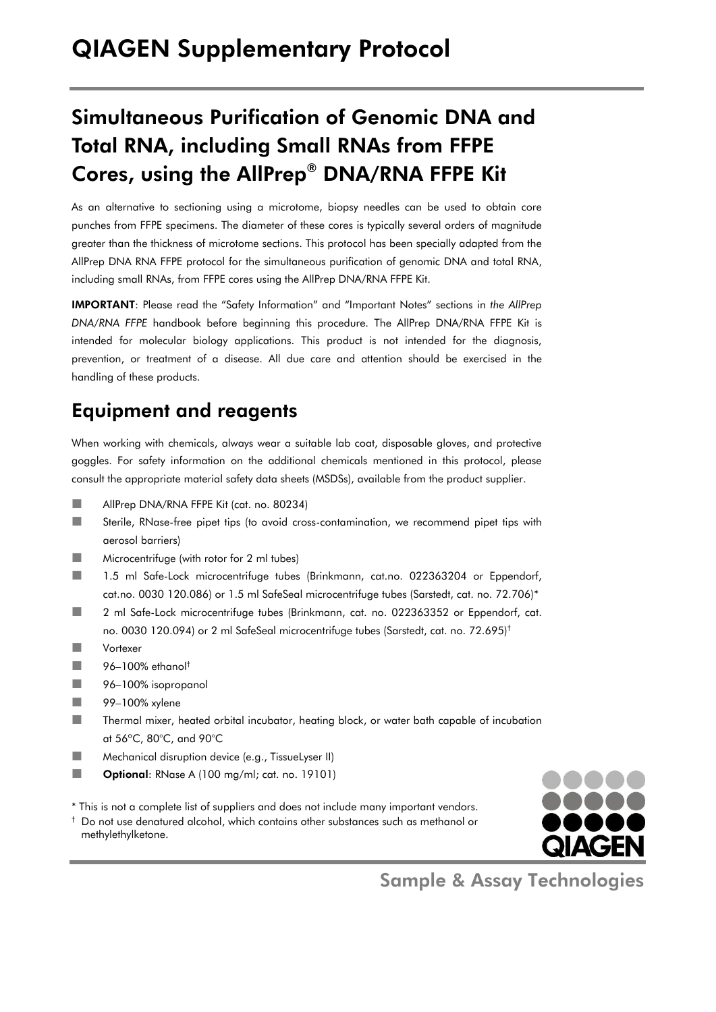## Simultaneous Purification of Genomic DNA and Total RNA, including Small RNAs from FFPE Cores, using the AllPrep® DNA/RNA FFPE Kit

As an alternative to sectioning using a microtome, biopsy needles can be used to obtain core punches from FFPE specimens. The diameter of these cores is typically several orders of magnitude greater than the thickness of microtome sections. This protocol has been specially adapted from the AllPrep DNA RNA FFPE protocol for the simultaneous purification of genomic DNA and total RNA, including small RNAs, from FFPE cores using the AllPrep DNA/RNA FFPE Kit.

IMPORTANT: Please read the "Safety Information" and "Important Notes" sections in *the AllPrep DNA/RNA FFPE* handbook before beginning this procedure. The AllPrep DNA/RNA FFPE Kit is intended for molecular biology applications. This product is not intended for the diagnosis, prevention, or treatment of a disease. All due care and attention should be exercised in the handling of these products.

### Equipment and reagents

When working with chemicals, always wear a suitable lab coat, disposable gloves, and protective goggles. For safety information on the additional chemicals mentioned in this protocol, please consult the appropriate material safety data sheets (MSDSs), available from the product supplier.

- AllPrep DNA/RNA FFPE Kit (cat. no. 80234)
- Sterile, RNase-free pipet tips (to avoid cross-contamination, we recommend pipet tips with aerosol barriers)
- **Microcentrifuge (with rotor for 2 ml tubes)**
- 1.5 ml Safe-Lock microcentrifuge tubes (Brinkmann, cat.no. 022363204 or Eppendorf, cat.no. 0030 120.086) or 1.5 ml SafeSeal microcentrifuge tubes (Sarstedt, cat. no. 72.706)\*
- 2 ml Safe-Lock microcentrifuge tubes (Brinkmann, cat. no. 022363352 or Eppendorf, cat. no. 0030 120.094) or 2 ml SafeSeal microcentrifuge tubes (Sarstedt, cat. no. 72.695)<sup>†</sup>
- **Nortexer**
- $\blacksquare$  96–100% ethanol<sup>†</sup>
- 96–100% isopropanol
- 99–100% xylene
- Thermal mixer, heated orbital incubator, heating block, or water bath capable of incubation at 56ºC, 80°C, and 90°C
- **Mechanical disruption device (e.g., TissueLyser II)**
- **Deparad:** RNase A (100 mg/ml; cat. no. 19101)
- \* This is not a complete list of suppliers and does not include many important vendors.
- † Do not use denatured alcohol, which contains other substances such as methanol or methylethylketone.

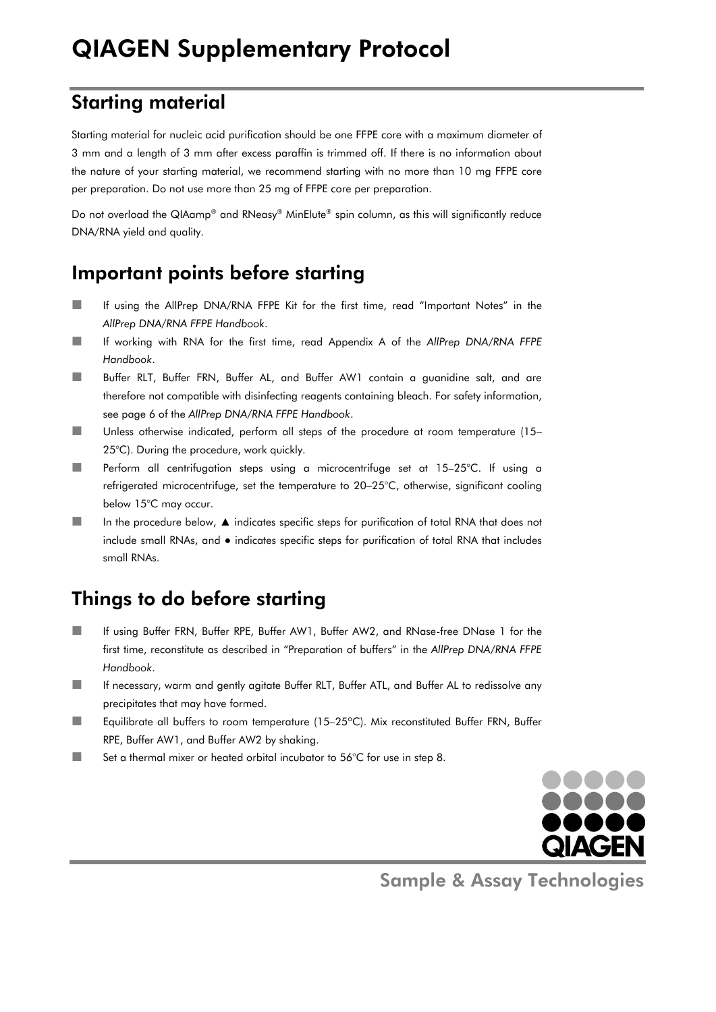## Starting material

Starting material for nucleic acid purification should be one FFPE core with a maximum diameter of 3 mm and a length of 3 mm after excess paraffin is trimmed off. If there is no information about the nature of your starting material, we recommend starting with no more than 10 mg FFPE core per preparation. Do not use more than 25 mg of FFPE core per preparation.

Do not overload the QIAamp® and RNeasy® MinElute® spin column, as this will significantly reduce DNA/RNA yield and quality.

### Important points before starting

- If using the AllPrep DNA/RNA FFPE Kit for the first time, read "Important Notes" in the *AllPrep DNA/RNA FFPE Handbook*.
- If working with RNA for the first time, read Appendix A of the *AllPrep DNA/RNA FFPE Handbook*.
- Buffer RLT, Buffer FRN, Buffer AL, and Buffer AW1 contain a guanidine salt, and are therefore not compatible with disinfecting reagents containing bleach. For safety information, see page 6 of the *AllPrep DNA/RNA FFPE Handbook*.
- Unless otherwise indicated, perform all steps of the procedure at room temperature (15– 25°C). During the procedure, work quickly.
- Perform all centrifugation steps using a microcentrifuge set at 15–25°C. If using a refrigerated microcentrifuge, set the temperature to 20–25°C, otherwise, significant cooling below 15°C may occur.
- In the procedure below,  $\blacktriangle$  indicates specific steps for purification of total RNA that does not include small RNAs, and ● indicates specific steps for purification of total RNA that includes small RNAs.

### Things to do before starting

- If using Buffer FRN, Buffer RPE, Buffer AW1, Buffer AW2, and RNase-free DNase 1 for the first time, reconstitute as described in "Preparation of buffers" in the *AllPrep DNA/RNA FFPE Handbook*.
- If necessary, warm and gently agitate Buffer RLT, Buffer ATL, and Buffer AL to redissolve any precipitates that may have formed.
- Equilibrate all buffers to room temperature (15–25ºC). Mix reconstituted Buffer FRN, Buffer RPE, Buffer AW1, and Buffer AW2 by shaking.
- Set a thermal mixer or heated orbital incubator to  $56^{\circ}$ C for use in step 8.

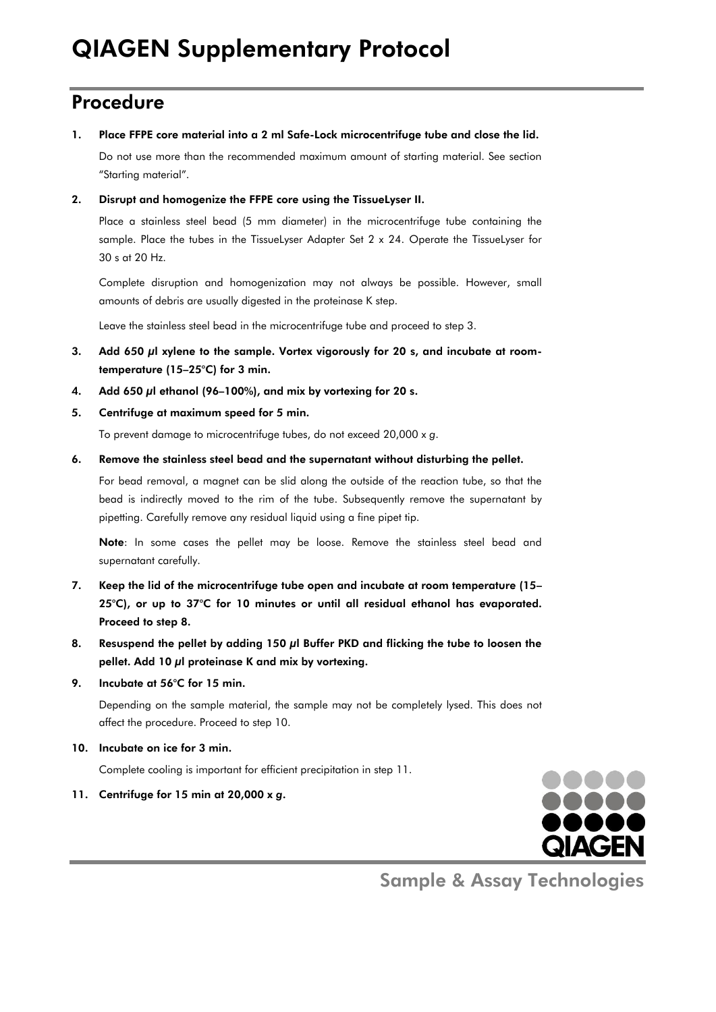### Procedure

#### 1. Place FFPE core material into a 2 ml Safe-Lock microcentrifuge tube and close the lid.

Do not use more than the recommended maximum amount of starting material. See section "Starting material".

#### 2. Disrupt and homogenize the FFPE core using the TissueLyser II.

Place a stainless steel bead (5 mm diameter) in the microcentrifuge tube containing the sample. Place the tubes in the TissueLyser Adapter Set 2 x 24. Operate the TissueLyser for 30 s at 20 Hz.

Complete disruption and homogenization may not always be possible. However, small amounts of debris are usually digested in the proteinase K step.

Leave the stainless steel bead in the microcentrifuge tube and proceed to step 3.

- 3. Add 650 µl xylene to the sample. Vortex vigorously for 20 s, and incubate at roomtemperature (15–25°C) for 3 min.
- 4. Add 650 µl ethanol (96–100%), and mix by vortexing for 20 s.
- 5. Centrifuge at maximum speed for 5 min.

To prevent damage to microcentrifuge tubes, do not exceed 20,000 x *g*.

#### 6. Remove the stainless steel bead and the supernatant without disturbing the pellet.

For bead removal, a magnet can be slid along the outside of the reaction tube, so that the bead is indirectly moved to the rim of the tube. Subsequently remove the supernatant by pipetting. Carefully remove any residual liquid using a fine pipet tip.

Note: In some cases the pellet may be loose. Remove the stainless steel bead and supernatant carefully.

- 7. Keep the lid of the microcentrifuge tube open and incubate at room temperature (15– 25°C), or up to 37°C for 10 minutes or until all residual ethanol has evaporated. Proceed to step 8.
- 8. Resuspend the pellet by adding 150 µl Buffer PKD and flicking the tube to loosen the pellet. Add 10 µl proteinase K and mix by vortexing.
- 9. Incubate at 56°C for 15 min.

Depending on the sample material, the sample may not be completely lysed. This does not affect the procedure. Proceed to step 10.

10. Incubate on ice for 3 min.

Complete cooling is important for efficient precipitation in step 11.

11. Centrifuge for 15 min at 20,000 x *g*.